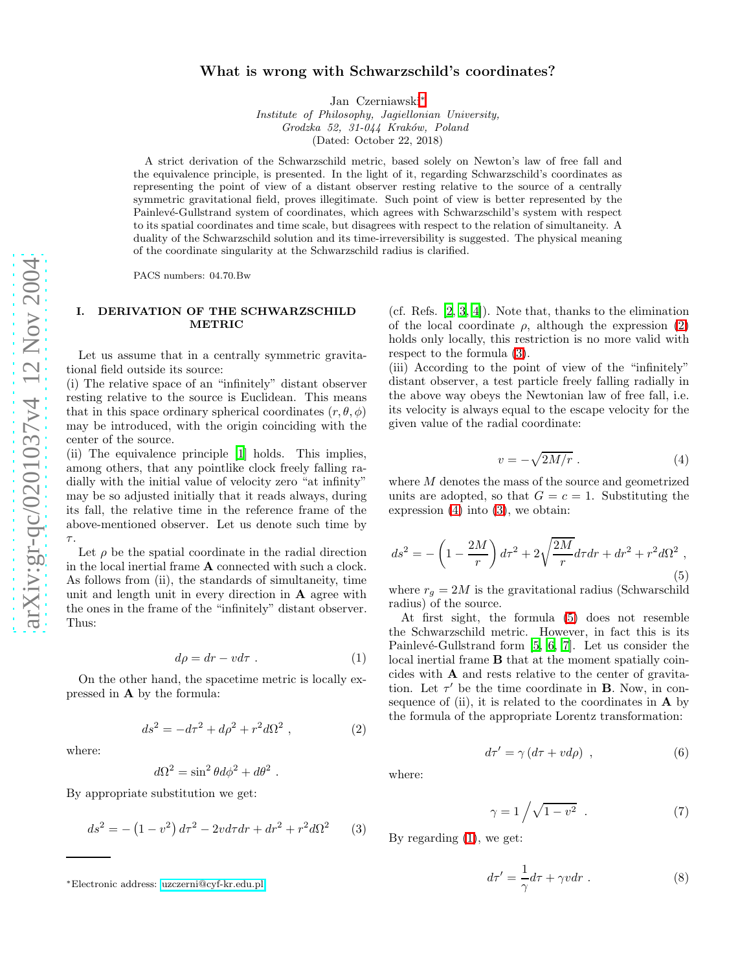# What is wrong with Schwarzschild's coordinates?

Jan Czerniawski [∗](#page-0-0)

Institute of Philosophy, Jagiellonian University, Grodzka 52, 31-044 Kraków, Poland (Dated: October 22, 2018)

A strict derivation of the Schwarzschild metric, based solely on Newton's law of free fall and the equivalence principle, is presented. In the light of it, regarding Schwarzschild's coordinates as representing the point of view of a distant observer resting relative to the source of a centrally symmetric gravitational field, proves illegitimate. Such point of view is better represented by the Painlevé-Gullstrand system of coordinates, which agrees with Schwarzschild's system with respect to its spatial coordinates and time scale, but disagrees with respect to the relation of simultaneity. A duality of the Schwarzschild solution and its time-irreversibility is suggested. The physical meaning of the coordinate singularity at the Schwarzschild radius is clarified.

PACS numbers: 04.70.Bw

### <span id="page-0-7"></span>I. DERIVATION OF THE SCHWARZSCHILD METRIC

Let us assume that in a centrally symmetric gravitational field outside its source:

(i) The relative space of an "infinitely" distant observer resting relative to the source is Euclidean. This means that in this space ordinary spherical coordinates  $(r, \theta, \phi)$ may be introduced, with the origin coinciding with the center of the source.

(ii) The equivalence principle [\[1\]](#page-3-0) holds. This implies, among others, that any pointlike clock freely falling radially with the initial value of velocity zero "at infinity" may be so adjusted initially that it reads always, during its fall, the relative time in the reference frame of the above-mentioned observer. Let us denote such time by τ.

Let  $\rho$  be the spatial coordinate in the radial direction in the local inertial frame A connected with such a clock. As follows from (ii), the standards of simultaneity, time unit and length unit in every direction in  $A$  agree with the ones in the frame of the "infinitely" distant observer. Thus:

$$
d\rho = dr - v d\tau . \tag{1}
$$

<span id="page-0-5"></span><span id="page-0-1"></span>On the other hand, the spacetime metric is locally expressed in A by the formula:

$$
ds^2 = -d\tau^2 + d\rho^2 + r^2 d\Omega^2 \,, \tag{2}
$$

where:

$$
d\Omega^2 = \sin^2\theta d\phi^2 + d\theta^2.
$$

<span id="page-0-2"></span>By appropriate substitution we get:

$$
ds^{2} = -\left(1 - v^{2}\right)d\tau^{2} - 2vd\tau dr + dr^{2} + r^{2}d\Omega^{2} \qquad (3)
$$

(cf. Refs. [\[2,](#page-3-1) [3,](#page-4-0) [4\]](#page-4-1)). Note that, thanks to the elimination of the local coordinate  $\rho$ , although the expression [\(2\)](#page-0-1) holds only locally, this restriction is no more valid with respect to the formula [\(3\)](#page-0-2).

<span id="page-0-3"></span>(iii) According to the point of view of the "infinitely" distant observer, a test particle freely falling radially in the above way obeys the Newtonian law of free fall, i.e. its velocity is always equal to the escape velocity for the given value of the radial coordinate:

$$
v = -\sqrt{2M/r} \ . \tag{4}
$$

<span id="page-0-4"></span>where M denotes the mass of the source and geometrized units are adopted, so that  $G = c = 1$ . Substituting the expression [\(4\)](#page-0-3) into [\(3\)](#page-0-2), we obtain:

$$
ds^{2} = -\left(1 - \frac{2M}{r}\right)d\tau^{2} + 2\sqrt{\frac{2M}{r}}d\tau dr + dr^{2} + r^{2}d\Omega^{2} ,
$$
\n(5)

where  $r_g = 2M$  is the gravitational radius (Schwarschild radius) of the source.

At first sight, the formula [\(5\)](#page-0-4) does not resemble the Schwarzschild metric. However, in fact this is its Painlevé-Gullstrand form  $[5, 6, 7]$  $[5, 6, 7]$  $[5, 6, 7]$  $[5, 6, 7]$ . Let us consider the local inertial frame **B** that at the moment spatially coincides with A and rests relative to the center of gravitation. Let  $\tau'$  be the time coordinate in **B**. Now, in consequence of (ii), it is related to the coordinates in  $\bf{A}$  by the formula of the appropriate Lorentz transformation:

 $d\tau' = \gamma (d\tau + v d\rho)$ 

$$
\gamma = 1 / \sqrt{1 - v^2} \quad . \tag{7}
$$

, (6)

By regarding [\(1\)](#page-0-5), we get:

<span id="page-0-6"></span>where:

$$
d\tau' = -\frac{1}{\gamma}d\tau + \gamma v dr \tag{8}
$$

<span id="page-0-0"></span><sup>∗</sup>Electronic address: [uzczerni@cyf-kr.edu.pl](mailto:uzczerni@cyf-kr.edu.pl)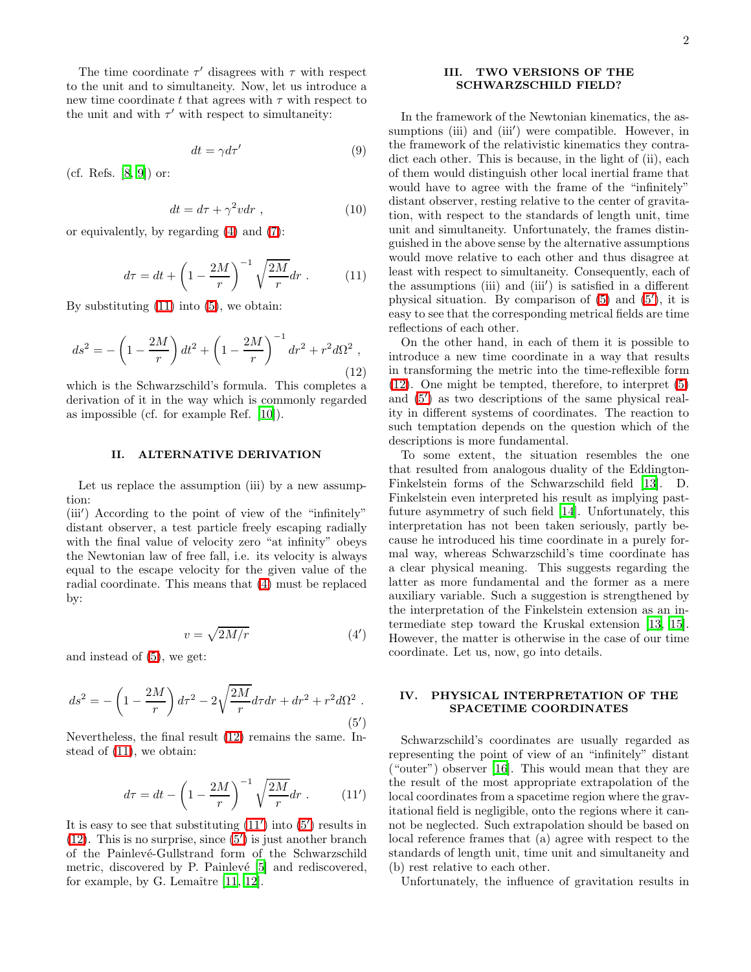The time coordinate  $\tau'$  disagrees with  $\tau$  with respect to the unit and to simultaneity. Now, let us introduce a new time coordinate t that agrees with  $\tau$  with respect to the unit and with  $\tau'$  with respect to simultaneity:

$$
dt = \gamma d\tau'
$$
 (9)

(cf. Refs. [\[8](#page-4-5), [9](#page-4-6)]) or:

$$
dt = d\tau + \gamma^2 v dr , \qquad (10)
$$

<span id="page-1-0"></span>or equivalently, by regarding [\(4\)](#page-0-3) and [\(7\)](#page-0-6):

$$
d\tau = dt + \left(1 - \frac{2M}{r}\right)^{-1} \sqrt{\frac{2M}{r}} dr . \tag{11}
$$

<span id="page-1-1"></span>By substituting  $(11)$  into  $(5)$ , we obtain:

$$
ds^{2} = -\left(1 - \frac{2M}{r}\right)dt^{2} + \left(1 - \frac{2M}{r}\right)^{-1}dr^{2} + r^{2}d\Omega^{2} , \tag{12}
$$

which is the Schwarzschild's formula. This completes a derivation of it in the way which is commonly regarded as impossible (cf. for example Ref. [\[10](#page-4-7)]).

#### II. ALTERNATIVE DERIVATION

<span id="page-1-5"></span>Let us replace the assumption (iii) by a new assumption:

(iii') According to the point of view of the "infinitely" distant observer, a test particle freely escaping radially with the final value of velocity zero "at infinity" obeys the Newtonian law of free fall, i.e. its velocity is always equal to the escape velocity for the given value of the radial coordinate. This means that [\(4\)](#page-0-3) must be replaced by:

<span id="page-1-4"></span><span id="page-1-3"></span>
$$
v = \sqrt{2M/r} \tag{4'}
$$

and instead of [\(5\)](#page-0-4), we get:

$$
ds^{2} = -\left(1 - \frac{2M}{r}\right)d\tau^{2} - 2\sqrt{\frac{2M}{r}}d\tau dr + dr^{2} + r^{2}d\Omega^{2}.
$$
\n(5')

Nevertheless, the final result [\(12\)](#page-1-1) remains the same. Instead of [\(11\)](#page-1-0), we obtain:

<span id="page-1-2"></span>
$$
d\tau = dt - \left(1 - \frac{2M}{r}\right)^{-1} \sqrt{\frac{2M}{r}} dr . \qquad (11')
$$

It is easy to see that substituting  $(11')$  into  $(5')$  results in [\(12\)](#page-1-1). This is no surprise, since  $(5')$  is just another branch of the Painlevé-Gullstrand form of the Schwarzschild metric, discovered by P. Painlevé [\[5\]](#page-4-2) and rediscovered, for example, by G. Lemaître  $[11, 12]$  $[11, 12]$ .

#### III. TWO VERSIONS OF THE SCHWARZSCHILD FIELD?

In the framework of the Newtonian kinematics, the assumptions (iii) and (iii') were compatible. However, in the framework of the relativistic kinematics they contradict each other. This is because, in the light of (ii), each of them would distinguish other local inertial frame that would have to agree with the frame of the "infinitely" distant observer, resting relative to the center of gravitation, with respect to the standards of length unit, time unit and simultaneity. Unfortunately, the frames distinguished in the above sense by the alternative assumptions would move relative to each other and thus disagree at least with respect to simultaneity. Consequently, each of the assumptions (iii) and (iii′ ) is satisfied in a different physical situation. By comparison of [\(5\)](#page-0-4) and [\(5](#page-1-3)′ ), it is easy to see that the corresponding metrical fields are time reflections of each other.

On the other hand, in each of them it is possible to introduce a new time coordinate in a way that results in transforming the metric into the time-reflexible form [\(12\)](#page-1-1). One might be tempted, therefore, to interpret [\(5\)](#page-0-4) and [\(5](#page-1-3)′ ) as two descriptions of the same physical reality in different systems of coordinates. The reaction to such temptation depends on the question which of the descriptions is more fundamental.

To some extent, the situation resembles the one that resulted from analogous duality of the Eddington-Finkelstein forms of the Schwarzschild field [\[13\]](#page-4-10). D. Finkelstein even interpreted his result as implying pastfuture asymmetry of such field [\[14](#page-4-11)]. Unfortunately, this interpretation has not been taken seriously, partly because he introduced his time coordinate in a purely formal way, whereas Schwarzschild's time coordinate has a clear physical meaning. This suggests regarding the latter as more fundamental and the former as a mere auxiliary variable. Such a suggestion is strengthened by the interpretation of the Finkelstein extension as an intermediate step toward the Kruskal extension [\[13](#page-4-10), [15\]](#page-4-12). However, the matter is otherwise in the case of our time coordinate. Let us, now, go into details.

## IV. PHYSICAL INTERPRETATION OF THE SPACETIME COORDINATES

Schwarzschild's coordinates are usually regarded as representing the point of view of an "infinitely" distant ("outer") observer [\[16\]](#page-4-13). This would mean that they are the result of the most appropriate extrapolation of the local coordinates from a spacetime region where the gravitational field is negligible, onto the regions where it cannot be neglected. Such extrapolation should be based on local reference frames that (a) agree with respect to the standards of length unit, time unit and simultaneity and (b) rest relative to each other.

Unfortunately, the influence of gravitation results in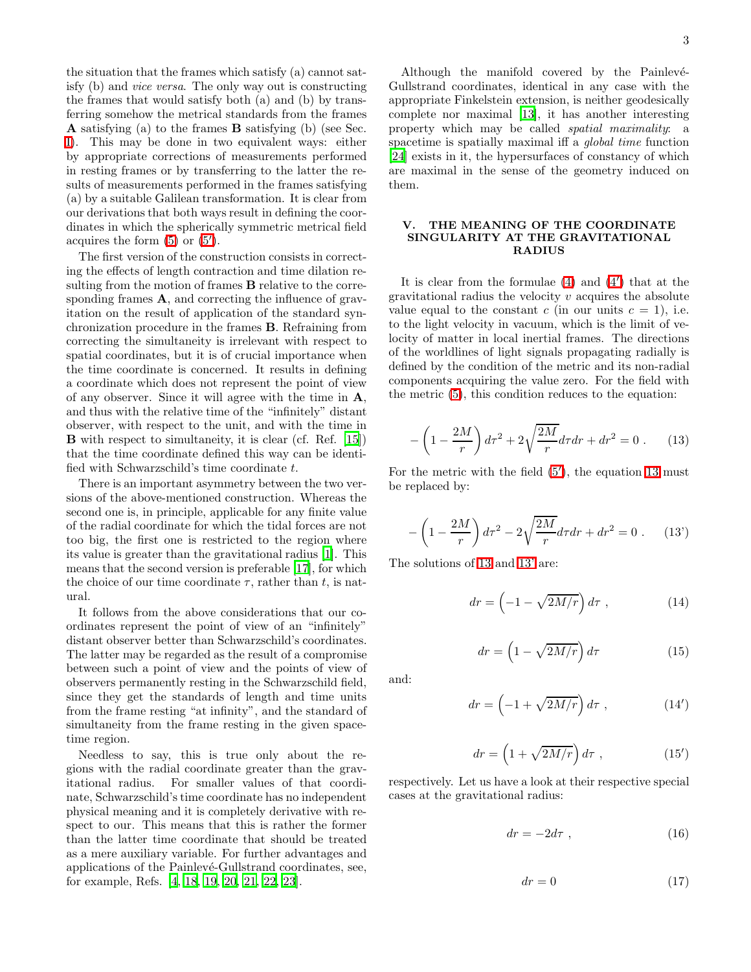the situation that the frames which satisfy (a) cannot satisfy (b) and vice versa. The only way out is constructing the frames that would satisfy both (a) and (b) by transferring somehow the metrical standards from the frames A satisfying (a) to the frames B satisfying (b) (see Sec. [I\)](#page-0-7). This may be done in two equivalent ways: either by appropriate corrections of measurements performed in resting frames or by transferring to the latter the results of measurements performed in the frames satisfying (a) by a suitable Galilean transformation. It is clear from our derivations that both ways result in defining the coordinates in which the spherically symmetric metrical field acquires the form  $(5)$  or  $(5')$ .

The first version of the construction consists in correcting the effects of length contraction and time dilation resulting from the motion of frames **B** relative to the corresponding frames **A**, and correcting the influence of gravitation on the result of application of the standard synchronization procedure in the frames B. Refraining from correcting the simultaneity is irrelevant with respect to spatial coordinates, but it is of crucial importance when the time coordinate is concerned. It results in defining a coordinate which does not represent the point of view of any observer. Since it will agree with the time in A, and thus with the relative time of the "infinitely" distant observer, with respect to the unit, and with the time in B with respect to simultaneity, it is clear (cf. Ref. [\[15\]](#page-4-12)) that the time coordinate defined this way can be identified with Schwarzschild's time coordinate t.

There is an important asymmetry between the two versions of the above-mentioned construction. Whereas the second one is, in principle, applicable for any finite value of the radial coordinate for which the tidal forces are not too big, the first one is restricted to the region where its value is greater than the gravitational radius [\[1\]](#page-3-0). This means that the second version is preferable [\[17\]](#page-4-14), for which the choice of our time coordinate  $\tau$ , rather than t, is natural.

It follows from the above considerations that our coordinates represent the point of view of an "infinitely" distant observer better than Schwarzschild's coordinates. The latter may be regarded as the result of a compromise between such a point of view and the points of view of observers permanently resting in the Schwarzschild field, since they get the standards of length and time units from the frame resting "at infinity", and the standard of simultaneity from the frame resting in the given spacetime region.

Needless to say, this is true only about the regions with the radial coordinate greater than the gravitational radius. For smaller values of that coordinate, Schwarzschild's time coordinate has no independent physical meaning and it is completely derivative with respect to our. This means that this is rather the former than the latter time coordinate that should be treated as a mere auxiliary variable. For further advantages and applications of the Painlevé-Gullstrand coordinates, see, for example, Refs. [\[4,](#page-4-1) [18,](#page-4-15) [19,](#page-4-16) [20,](#page-4-17) [21,](#page-4-18) [22,](#page-4-19) [23](#page-4-20)].

Although the manifold covered by the Painlevé-Gullstrand coordinates, identical in any case with the appropriate Finkelstein extension, is neither geodesically complete nor maximal [\[13\]](#page-4-10), it has another interesting property which may be called spatial maximality: a spacetime is spatially maximal iff a global time function [\[24\]](#page-4-21) exists in it, the hypersurfaces of constancy of which are maximal in the sense of the geometry induced on them.

### <span id="page-2-6"></span>V. THE MEANING OF THE COORDINATE SINGULARITY AT THE GRAVITATIONAL RADIUS

It is clear from the formulae [\(4\)](#page-0-3) and [\(4](#page-1-4)′ ) that at the gravitational radius the velocity  $v$  acquires the absolute value equal to the constant c (in our units  $c = 1$ ), i.e. to the light velocity in vacuum, which is the limit of velocity of matter in local inertial frames. The directions of the worldlines of light signals propagating radially is defined by the condition of the metric and its non-radial components acquiring the value zero. For the field with the metric [\(5\)](#page-0-4), this condition reduces to the equation:

<span id="page-2-0"></span>
$$
-\left(1 - \frac{2M}{r}\right)d\tau^2 + 2\sqrt{\frac{2M}{r}}d\tau dr + dr^2 = 0.
$$
 (13)

For the metric with the field [\(5](#page-1-3)′ ), the equation [13](#page-2-0) must be replaced by:

$$
-\left(1 - \frac{2M}{r}\right)d\tau^2 - 2\sqrt{\frac{2M}{r}}d\tau dr + dr^2 = 0.
$$
 (13)

<span id="page-2-3"></span><span id="page-2-2"></span>The solutions of [13](#page-2-0) and [13'](#page-2-1) are:

<span id="page-2-1"></span>
$$
dr = \left(-1 - \sqrt{2M/r}\right)d\tau , \qquad (14)
$$

$$
dr = \left(1 - \sqrt{2M/r}\right)d\tau\tag{15}
$$

and:

<span id="page-2-4"></span>
$$
dr = \left(-1 + \sqrt{2M/r}\right)d\tau , \qquad (14')
$$

<span id="page-2-5"></span>
$$
dr = \left(1 + \sqrt{2M/r}\right)d\tau , \qquad (15')
$$

respectively. Let us have a look at their respective special cases at the gravitational radius:

$$
dr = -2d\tau \t{,} \t(16)
$$

$$
dr = 0 \tag{17}
$$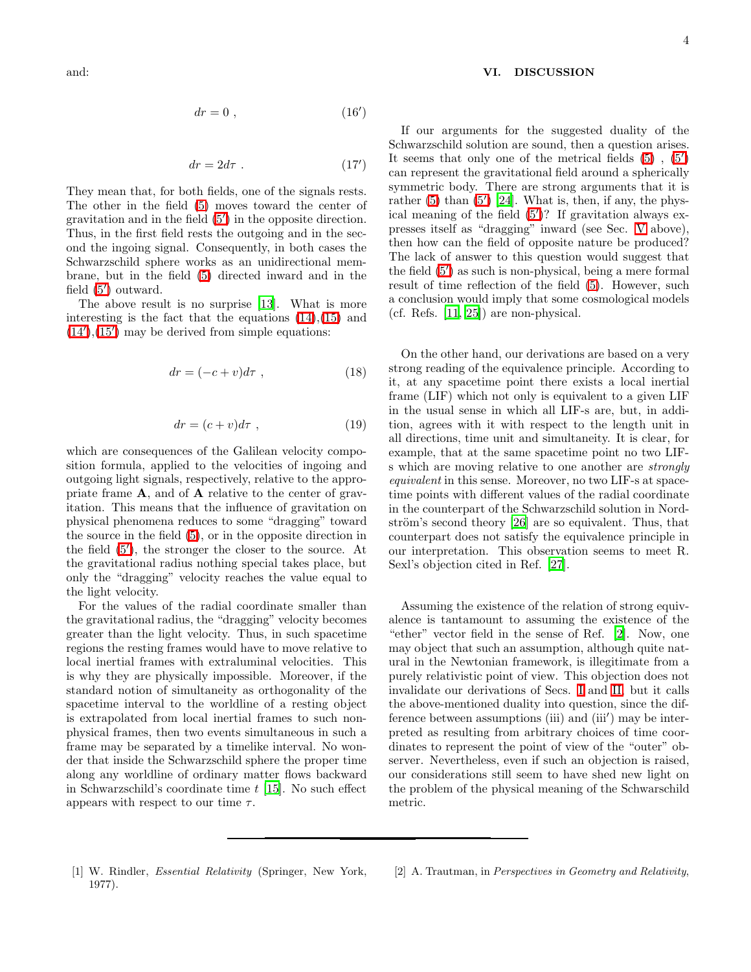$$
dr = 0 \t{,} \t(16')
$$

$$
dr = 2d\tau \tag{17'}
$$

They mean that, for both fields, one of the signals rests. The other in the field [\(5\)](#page-0-4) moves toward the center of gravitation and in the field [\(5](#page-1-3)′ ) in the opposite direction. Thus, in the first field rests the outgoing and in the second the ingoing signal. Consequently, in both cases the Schwarzschild sphere works as an unidirectional membrane, but in the field [\(5\)](#page-0-4) directed inward and in the field [\(5](#page-1-3)') outward.

The above result is no surprise [\[13\]](#page-4-10). What is more interesting is the fact that the equations  $(14),(15)$  $(14),(15)$  and  $(14')$  $(14')$ ,  $(15')$  $(15')$  may be derived from simple equations:

$$
dr = (-c + v)d\tau , \qquad (18)
$$

$$
dr = (c+v)d\tau , \qquad (19)
$$

which are consequences of the Galilean velocity composition formula, applied to the velocities of ingoing and outgoing light signals, respectively, relative to the appropriate frame A, and of A relative to the center of gravitation. This means that the influence of gravitation on physical phenomena reduces to some "dragging" toward the source in the field [\(5\)](#page-0-4), or in the opposite direction in the field [\(5](#page-1-3)′ ), the stronger the closer to the source. At the gravitational radius nothing special takes place, but only the "dragging" velocity reaches the value equal to the light velocity.

For the values of the radial coordinate smaller than the gravitational radius, the "dragging" velocity becomes greater than the light velocity. Thus, in such spacetime regions the resting frames would have to move relative to local inertial frames with extraluminal velocities. This is why they are physically impossible. Moreover, if the standard notion of simultaneity as orthogonality of the spacetime interval to the worldline of a resting object is extrapolated from local inertial frames to such nonphysical frames, then two events simultaneous in such a frame may be separated by a timelike interval. No wonder that inside the Schwarzschild sphere the proper time along any worldline of ordinary matter flows backward in Schwarzschild's coordinate time  $t$  [\[15\]](#page-4-12). No such effect appears with respect to our time  $\tau$ .

#### VI. DISCUSSION

If our arguments for the suggested duality of the Schwarzschild solution are sound, then a question arises. It seems that only one of the metrical fields  $(5)$ ,  $(5')$ can represent the gravitational field around a spherically symmetric body. There are strong arguments that it is rather  $(5)$  than  $(5')$  [\[24\]](#page-4-21). What is, then, if any, the physical meaning of the field [\(5](#page-1-3)′ )? If gravitation always expresses itself as "dragging" inward (see Sec. [V](#page-2-6) above), then how can the field of opposite nature be produced? The lack of answer to this question would suggest that the field [\(5](#page-1-3)′ ) as such is non-physical, being a mere formal result of time reflection of the field [\(5\)](#page-0-4). However, such a conclusion would imply that some cosmological models (cf. Refs. [\[11](#page-4-8), [25](#page-4-22)]) are non-physical.

On the other hand, our derivations are based on a very strong reading of the equivalence principle. According to it, at any spacetime point there exists a local inertial frame (LIF) which not only is equivalent to a given LIF in the usual sense in which all LIF-s are, but, in addition, agrees with it with respect to the length unit in all directions, time unit and simultaneity. It is clear, for example, that at the same spacetime point no two LIFs which are moving relative to one another are strongly equivalent in this sense. Moreover, no two LIF-s at spacetime points with different values of the radial coordinate in the counterpart of the Schwarzschild solution in Nordström's second theory  $[26]$  are so equivalent. Thus, that counterpart does not satisfy the equivalence principle in our interpretation. This observation seems to meet R. Sexl's objection cited in Ref. [\[27](#page-4-24)].

Assuming the existence of the relation of strong equivalence is tantamount to assuming the existence of the "ether" vector field in the sense of Ref. [\[2](#page-3-1)]. Now, one may object that such an assumption, although quite natural in the Newtonian framework, is illegitimate from a purely relativistic point of view. This objection does not invalidate our derivations of Secs. [I](#page-0-7) and [II,](#page-1-5) but it calls the above-mentioned duality into question, since the difference between assumptions (iii) and (iii') may be interpreted as resulting from arbitrary choices of time coordinates to represent the point of view of the "outer" observer. Nevertheless, even if such an objection is raised, our considerations still seem to have shed new light on the problem of the physical meaning of the Schwarschild metric.

- <span id="page-3-0"></span>[1] W. Rindler, Essential Relativity (Springer, New York, 1977).
- <span id="page-3-1"></span>[2] A. Trautman, in Perspectives in Geometry and Relativity,